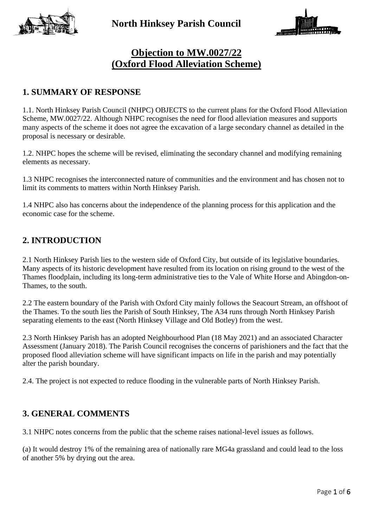



# **Objection to MW.0027/22 (Oxford Flood Alleviation Scheme)**

#### **1. SUMMARY OF RESPONSE**

1.1. North Hinksey Parish Council (NHPC) OBJECTS to the current plans for the Oxford Flood Alleviation Scheme, MW.0027/22. Although NHPC recognises the need for flood alleviation measures and supports many aspects of the scheme it does not agree the excavation of a large secondary channel as detailed in the proposal is necessary or desirable.

1.2. NHPC hopes the scheme will be revised, eliminating the secondary channel and modifying remaining elements as necessary.

1.3 NHPC recognises the interconnected nature of communities and the environment and has chosen not to limit its comments to matters within North Hinksey Parish.

1.4 NHPC also has concerns about the independence of the planning process for this application and the economic case for the scheme.

#### **2. INTRODUCTION**

2.1 North Hinksey Parish lies to the western side of Oxford City, but outside of its legislative boundaries. Many aspects of its historic development have resulted from its location on rising ground to the west of the Thames floodplain, including its long-term administrative ties to the Vale of White Horse and Abingdon-on-Thames, to the south.

2.2 The eastern boundary of the Parish with Oxford City mainly follows the Seacourt Stream, an offshoot of the Thames. To the south lies the Parish of South Hinksey, The A34 runs through North Hinksey Parish separating elements to the east (North Hinksey Village and Old Botley) from the west.

2.3 North Hinksey Parish has an adopted Neighbourhood Plan (18 May 2021) and an associated Character Assessment (January 2018). The Parish Council recognises the concerns of parishioners and the fact that the proposed flood alleviation scheme will have significant impacts on life in the parish and may potentially alter the parish boundary.

2.4. The project is not expected to reduce flooding in the vulnerable parts of North Hinksey Parish.

#### **3. GENERAL COMMENTS**

3.1 NHPC notes concerns from the public that the scheme raises national-level issues as follows.

(a) It would destroy 1% of the remaining area of nationally rare MG4a grassland and could lead to the loss of another 5% by drying out the area.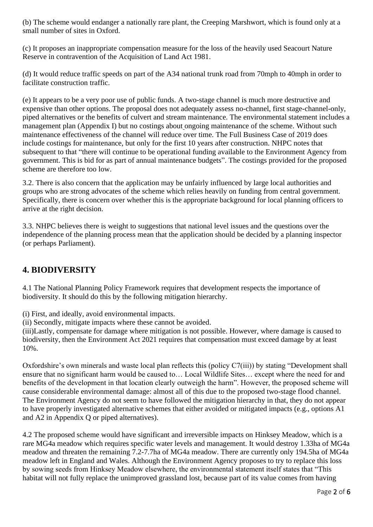(b) The scheme would endanger a nationally rare plant, the Creeping Marshwort, which is found only at a small number of sites in Oxford.

(c) It proposes an inappropriate compensation measure for the loss of the heavily used Seacourt Nature Reserve in contravention of the Acquisition of Land Act 1981.

(d) It would reduce traffic speeds on part of the A34 national trunk road from 70mph to 40mph in order to facilitate construction traffic.

(e) It appears to be a very poor use of public funds. A two-stage channel is much more destructive and expensive than other options. The proposal does not adequately assess no-channel, first stage-channel-only, piped alternatives or the benefits of culvert and stream maintenance. The environmental statement includes a management plan (Appendix I) but no costings about ongoing maintenance of the scheme. Without such maintenance effectiveness of the channel will reduce over time. The Full Business Case of 2019 does include costings for maintenance, but only for the first 10 years after construction. NHPC notes that subsequent to that "there will continue to be operational funding available to the Environment Agency from government. This is bid for as part of annual maintenance budgets". The costings provided for the proposed scheme are therefore too low.

3.2. There is also concern that the application may be unfairly influenced by large local authorities and groups who are strong advocates of the scheme which relies heavily on funding from central government. Specifically, there is concern over whether this is the appropriate background for local planning officers to arrive at the right decision.

3.3. NHPC believes there is weight to suggestions that national level issues and the questions over the independence of the planning process mean that the application should be decided by a planning inspector (or perhaps Parliament).

## **4. BIODIVERSITY**

4.1 The National Planning Policy Framework requires that development respects the importance of biodiversity. It should do this by the following mitigation hierarchy.

(i) First, and ideally, avoid environmental impacts.

(ii) Secondly, mitigate impacts where these cannot be avoided.

(iii)Lastly, compensate for damage where mitigation is not possible. However, where damage is caused to biodiversity, then the Environment Act 2021 requires that compensation must exceed damage by at least 10%.

Oxfordshire's own minerals and waste local plan reflects this (policy C7(iii)) by stating "Development shall ensure that no significant harm would be caused to… Local Wildlife Sites… except where the need for and benefits of the development in that location clearly outweigh the harm". However, the proposed scheme will cause considerable environmental damage: almost all of this due to the proposed two-stage flood channel. The Environment Agency do not seem to have followed the mitigation hierarchy in that, they do not appear to have properly investigated alternative schemes that either avoided or mitigated impacts (e.g., options A1 and A2 in Appendix Q or piped alternatives).

4.2 The proposed scheme would have significant and irreversible impacts on Hinksey Meadow, which is a rare MG4a meadow which requires specific water levels and management. It would destroy 1.33ha of MG4a meadow and threaten the remaining 7.2-7.7ha of MG4a meadow. There are currently only 194.5ha of MG4a meadow left in England and Wales. Although the Environment Agency proposes to try to replace this loss by sowing seeds from Hinksey Meadow elsewhere, the environmental statement itself states that "This habitat will not fully replace the unimproved grassland lost, because part of its value comes from having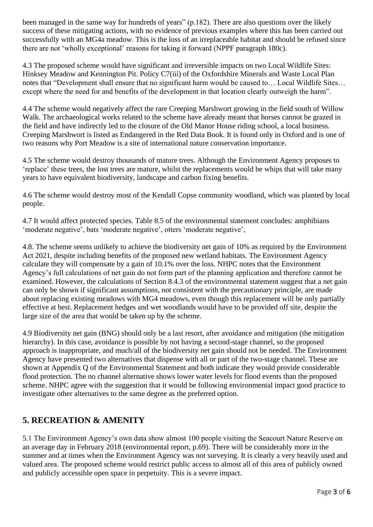been managed in the same way for hundreds of years" (p.182). There are also questions over the likely success of these mitigating actions, with no evidence of previous examples where this has been carried out successfully with an MG4a meadow. This is the loss of an irreplaceable habitat and should be refused since there are not 'wholly exceptional' reasons for taking it forward (NPPF paragraph 180c).

4.3 The proposed scheme would have significant and irreversible impacts on two Local Wildlife Sites: Hinksey Meadow and Kennington Pit. Policy C7(iii) of the Oxfordshire Minerals and Waste Local Plan notes that "Development shall ensure that no significant harm would be caused to… Local Wildlife Sites… except where the need for and benefits of the development in that location clearly outweigh the harm".

4.4 The scheme would negatively affect the rare Creeping Marshwort growing in the field south of Willow Walk. The archaeological works related to the scheme have already meant that horses cannot be grazed in the field and have indirectly led to the closure of the Old Manor House riding school, a local business. Creeping Marshwort is listed as Endangered in the Red Data Book. It is found only in Oxford and is one of two reasons why Port Meadow is a site of international nature conservation importance.

4.5 The scheme would destroy thousands of mature trees. Although the Environment Agency proposes to 'replace' these trees, the lost trees are mature, whilst the replacements would be whips that will take many years to have equivalent biodiversity, landscape and carbon fixing benefits.

4.6 The scheme would destroy most of the Kendall Copse community woodland, which was planted by local people.

4.7 It would affect protected species. Table 8.5 of the environmental statement concludes: amphibians 'moderate negative', bats 'moderate negative', otters 'moderate negative',

4.8. The scheme seems unlikely to achieve the biodiversity net gain of 10% as required by the Environment Act 2021, despite including benefits of the proposed new wetland habitats. The Environment Agency calculate they will compensate by a gain of 10.1% over the loss. NHPC notes that the Environment Agency's full calculations of net gain do not form part of the planning application and therefore cannot be examined. However, the calculations of Section 8.4.3 of the environmental statement suggest that a net gain can only be shown if significant assumptions, not consistent with the precautionary principle, are made about replacing existing meadows with MG4 meadows, even though this replacement will be only partially effective at best. Replacement hedges and wet woodlands would have to be provided off site, despite the large size of the area that would be taken up by the scheme.

4.9 Biodiversity net gain (BNG) should only be a last resort, after avoidance and mitigation (the mitigation hierarchy). In this case, avoidance is possible by not having a second-stage channel, so the proposed approach is inappropriate, and much/all of the biodiversity net gain should not be needed. The Environment Agency have presented two alternatives that dispense with all or part of the two-stage channel. These are shown at Appendix Q of the Environmental Statement and both indicate they would provide considerable flood protection. The no channel alternative shows lower water levels for flood events than the proposed scheme. NHPC agree with the suggestion that it would be following environmental impact good practice to investigate other alternatives to the same degree as the preferred option.

## **5. RECREATION & AMENITY**

5.1 The Environment Agency's own data show almost 100 people visiting the Seacourt Nature Reserve on an average day in February 2018 (environmental report, p.69). There will be considerably more in the summer and at times when the Environment Agency was not surveying. It is clearly a very heavily used and valued area. The proposed scheme would restrict public access to almost all of this area of publicly owned and publicly accessible open space in perpetuity. This is a severe impact.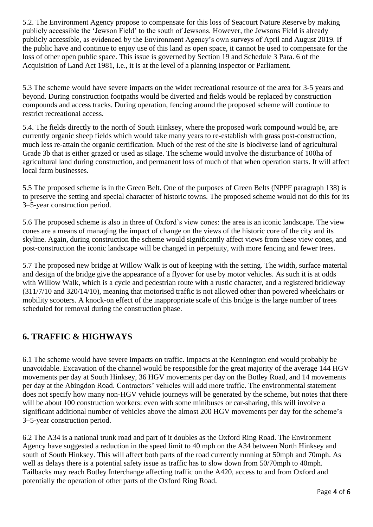5.2. The Environment Agency propose to compensate for this loss of Seacourt Nature Reserve by making publicly accessible the 'Jewson Field' to the south of Jewsons. However, the Jewsons Field is already publicly accessible, as evidenced by the Environment Agency's own surveys of April and August 2019. If the public have and continue to enjoy use of this land as open space, it cannot be used to compensate for the loss of other open public space. This issue is governed by Section 19 and Schedule 3 Para. 6 of the Acquisition of Land Act 1981, i.e., it is at the level of a planning inspector or Parliament.

5.3 The scheme would have severe impacts on the wider recreational resource of the area for 3-5 years and beyond. During construction footpaths would be diverted and fields would be replaced by construction compounds and access tracks. During operation, fencing around the proposed scheme will continue to restrict recreational access.

5.4. The fields directly to the north of South Hinksey, where the proposed work compound would be, are currently organic sheep fields which would take many years to re-establish with grass post-construction, much less re-attain the organic certification. Much of the rest of the site is biodiverse land of agricultural Grade 3b that is either grazed or used as silage. The scheme would involve the disturbance of 100ha of agricultural land during construction, and permanent loss of much of that when operation starts. It will affect local farm businesses.

5.5 The proposed scheme is in the Green Belt. One of the purposes of Green Belts (NPPF paragraph 138) is to preserve the setting and special character of historic towns. The proposed scheme would not do this for its 3–5-year construction period.

5.6 The proposed scheme is also in three of Oxford's view cones: the area is an iconic landscape. The view cones are a means of managing the impact of change on the views of the historic core of the city and its skyline. Again, during construction the scheme would significantly affect views from these view cones, and post-construction the iconic landscape will be changed in perpetuity, with more fencing and fewer trees.

5.7 The proposed new bridge at Willow Walk is out of keeping with the setting. The width, surface material and design of the bridge give the appearance of a flyover for use by motor vehicles. As such it is at odds with Willow Walk, which is a cycle and pedestrian route with a rustic character, and a registered bridleway (311/7/10 and 320/14/10), meaning that motorised traffic is not allowed other than powered wheelchairs or mobility scooters. A knock-on effect of the inappropriate scale of this bridge is the large number of trees scheduled for removal during the construction phase.

## **6. TRAFFIC & HIGHWAYS**

6.1 The scheme would have severe impacts on traffic. Impacts at the Kennington end would probably be unavoidable. Excavation of the channel would be responsible for the great majority of the average 144 HGV movements per day at South Hinksey, 36 HGV movements per day on the Botley Road, and 14 movements per day at the Abingdon Road. Contractors' vehicles will add more traffic. The environmental statement does not specify how many non-HGV vehicle journeys will be generated by the scheme, but notes that there will be about 100 construction workers: even with some minibuses or car-sharing, this will involve a significant additional number of vehicles above the almost 200 HGV movements per day for the scheme's 3–5-year construction period.

6.2 The A34 is a national trunk road and part of it doubles as the Oxford Ring Road. The Environment Agency have suggested a reduction in the speed limit to 40 mph on the A34 between North Hinksey and south of South Hinksey. This will affect both parts of the road currently running at 50mph and 70mph. As well as delays there is a potential safety issue as traffic has to slow down from 50/70mph to 40mph. Tailbacks may reach Botley Interchange affecting traffic on the A420, access to and from Oxford and potentially the operation of other parts of the Oxford Ring Road.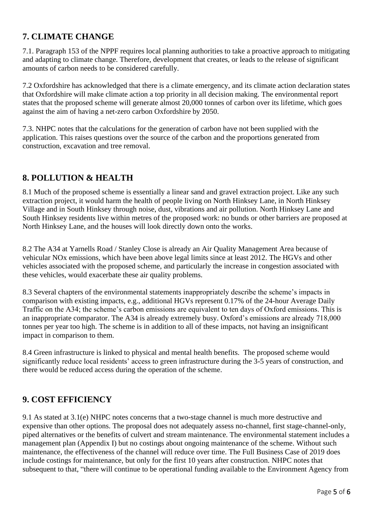# **7. CLIMATE CHANGE**

7.1. Paragraph 153 of the NPPF requires local planning authorities to take a proactive approach to mitigating and adapting to climate change. Therefore, development that creates, or leads to the release of significant amounts of carbon needs to be considered carefully.

7.2 Oxfordshire has acknowledged that there is a climate emergency, and its climate action declaration states that Oxfordshire will make climate action a top priority in all decision making. The environmental report states that the proposed scheme will generate almost 20,000 tonnes of carbon over its lifetime, which goes against the aim of having a net-zero carbon Oxfordshire by 2050.

7.3. NHPC notes that the calculations for the generation of carbon have not been supplied with the application. This raises questions over the source of the carbon and the proportions generated from construction, excavation and tree removal.

#### **8. POLLUTION & HEALTH**

8.1 Much of the proposed scheme is essentially a linear sand and gravel extraction project. Like any such extraction project, it would harm the health of people living on North Hinksey Lane, in North Hinksey Village and in South Hinksey through noise, dust, vibrations and air pollution. North Hinksey Lane and South Hinksey residents live within metres of the proposed work: no bunds or other barriers are proposed at North Hinksey Lane, and the houses will look directly down onto the works.

8.2 The A34 at Yarnells Road / Stanley Close is already an Air Quality Management Area because of vehicular NOx emissions, which have been above legal limits since at least 2012. The HGVs and other vehicles associated with the proposed scheme, and particularly the increase in congestion associated with these vehicles, would exacerbate these air quality problems.

8.3 Several chapters of the environmental statements inappropriately describe the scheme's impacts in comparison with existing impacts, e.g., additional HGVs represent 0.17% of the 24-hour Average Daily Traffic on the A34; the scheme's carbon emissions are equivalent to ten days of Oxford emissions. This is an inappropriate comparator. The A34 is already extremely busy. Oxford's emissions are already 718,000 tonnes per year too high. The scheme is in addition to all of these impacts, not having an insignificant impact in comparison to them.

8.4 Green infrastructure is linked to physical and mental health benefits. The proposed scheme would significantly reduce local residents' access to green infrastructure during the 3-5 years of construction, and there would be reduced access during the operation of the scheme.

## **9. COST EFFICIENCY**

9.1 As stated at 3.1(e) NHPC notes concerns that a two-stage channel is much more destructive and expensive than other options. The proposal does not adequately assess no-channel, first stage-channel-only, piped alternatives or the benefits of culvert and stream maintenance. The environmental statement includes a management plan (Appendix I) but no costings about ongoing maintenance of the scheme. Without such maintenance, the effectiveness of the channel will reduce over time. The Full Business Case of 2019 does include costings for maintenance, but only for the first 10 years after construction. NHPC notes that subsequent to that, "there will continue to be operational funding available to the Environment Agency from